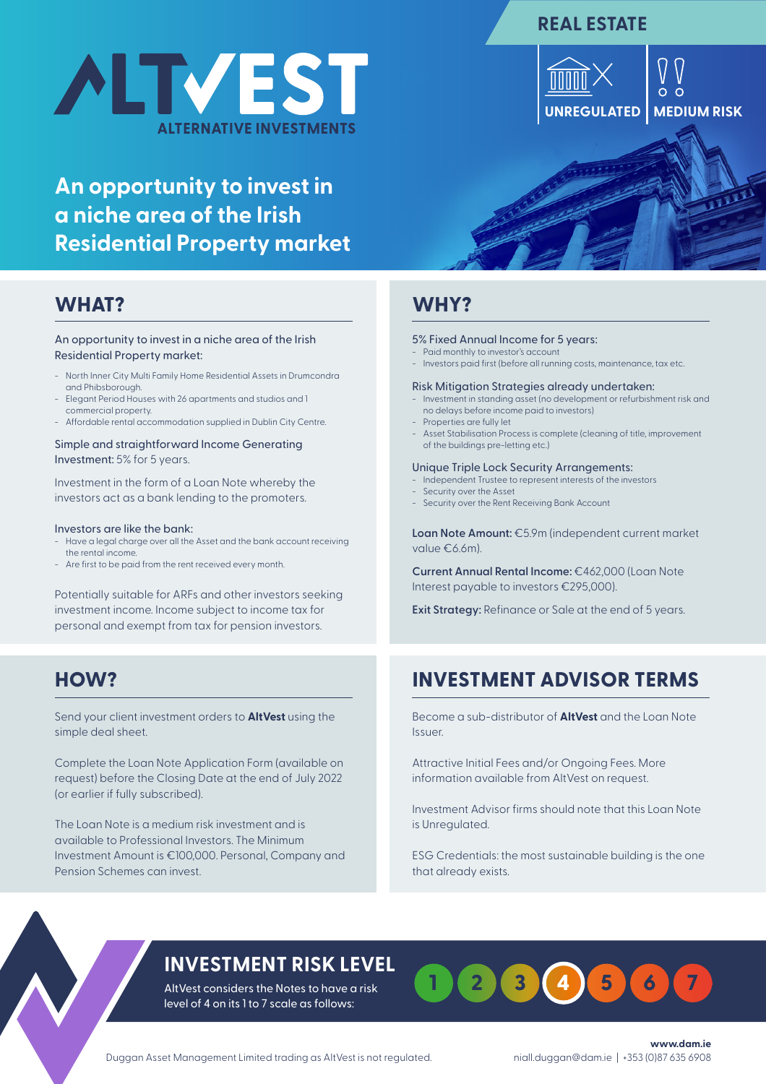# **ALTVEST ALTERNATIVE INVESTMENTS**

## **An opportunity to invest in a niche area of the Irish Residential Property market**

## **WHAT?**

### An opportunity to invest in a niche area of the Irish Residential Property market:

- North Inner City Multi Family Home Residential Assets in Drumcondra and Phibsborough.
- Elegant Period Houses with 26 apartments and studios and 1 commercial property.
- Affordable rental accommodation supplied in Dublin City Centre.

Simple and straightforward Income Generating Investment: 5% for 5 years.

Investment in the form of a Loan Note whereby the investors act as a bank lending to the promoters.

#### Investors are like the bank:

- Have a legal charge over all the Asset and the bank account receiving the rental income.
- Are first to be paid from the rent received every month.

Potentially suitable for ARFs and other investors seeking investment income. Income subject to income tax for personal and exempt from tax for pension investors.

## **HOW?**

Send your client investment orders to **AltVest** using the simple deal sheet.

Complete the Loan Note Application Form (available on request) before the Closing Date at the end of July 2022 (or earlier if fully subscribed).

The Loan Note is a medium risk investment and is available to Professional Investors. The Minimum Investment Amount is €100,000. Personal, Company and Pension Schemes can invest.

## **WHY?**

#### 5% Fixed Annual Income for 5 years:

- Paid monthly to investor's account
- Investors paid first (before all running costs, maintenance, tax etc.

#### Risk Mitigation Strategies already undertaken:

- Investment in standing asset (no development or refurbishment risk and no delays before income paid to investors)
- Properties are fully let
- Asset Stabilisation Process is complete (cleaning of title, improvement of the buildings pre-letting etc.)

#### Unique Triple Lock Security Arrangements:

- Independent Trustee to represent interests of the investors
- Security over the Asset
- Security over the Rent Receiving Bank Account

**Loan Note Amount:** €5.9m (independent current market value €6.6m).

**Current Annual Rental Income:** €462,000 (Loan Note Interest payable to investors €295,000).

**Exit Strategy:** Refinance or Sale at the end of 5 years.

## **INVESTMENT ADVISOR TERMS**

Become a sub-distributor of **AltVest** and the Loan Note Issuer.

Attractive Initial Fees and/or Ongoing Fees. More information available from AltVest on request.

Investment Advisor firms should note that this Loan Note is Unregulated.

ESG Credentials: the most sustainable building is the one that already exists.

## **INVESTMENT RISK LEVEL**

AltVest considers the Notes to have a risk level of 4 on its 1 to 7 scale as follows:



Duggan Asset Management Limited trading as AltVest is not regulated.

**www.dam.ie** niall.duggan@dam.ie | +353 (0)87 635 6908

## **REAL ESTATE**